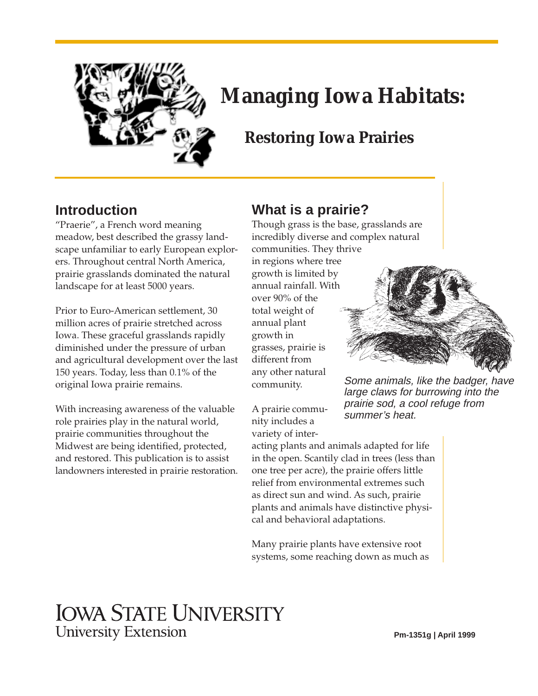

# **Managing Iowa Habitats:**

### **Restoring Iowa Prairies**

### **Introduction**

"Praerie", a French word meaning meadow, best described the grassy landscape unfamiliar to early European explorers. Throughout central North America, prairie grasslands dominated the natural landscape for at least 5000 years.

Prior to Euro-American settlement, 30 million acres of prairie stretched across Iowa. These graceful grasslands rapidly diminished under the pressure of urban and agricultural development over the last 150 years. Today, less than 0.1% of the original Iowa prairie remains.

With increasing awareness of the valuable role prairies play in the natural world, prairie communities throughout the Midwest are being identified, protected, and restored. This publication is to assist landowners interested in prairie restoration.

### **What is a prairie?**

Though grass is the base, grasslands are incredibly diverse and complex natural communities. They thrive in regions where tree growth is limited by annual rainfall. With over 90% of the total weight of annual plant growth in grasses, prairie is different from any other natural community.



Some animals, like the badger, have large claws for burrowing into the prairie sod, a cool refuge from summer's heat.

A prairie community includes a variety of inter-

acting plants and animals adapted for life in the open. Scantily clad in trees (less than one tree per acre), the prairie offers little relief from environmental extremes such as direct sun and wind. As such, prairie plants and animals have distinctive physical and behavioral adaptations.

Many prairie plants have extensive root systems, some reaching down as much as

## **IOWA STATE UNIVERSITY University Extension**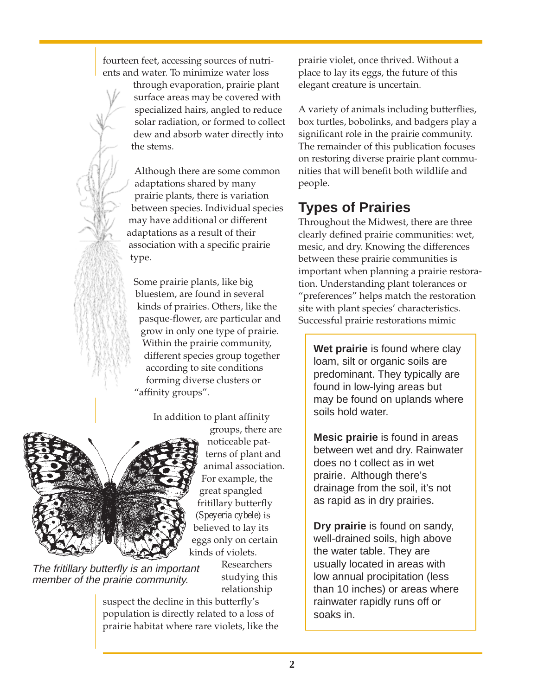fourteen feet, accessing sources of nutrients and water. To minimize water loss

> through evaporation, prairie plant surface areas may be covered with specialized hairs, angled to reduce solar radiation, or formed to collect dew and absorb water directly into the stems.

Although there are some common adaptations shared by many prairie plants, there is variation between species. Individual species may have additional or different adaptations as a result of their association with a specific prairie type.

Some prairie plants, like big bluestem, are found in several kinds of prairies. Others, like the pasque-flower, are particular and grow in only one type of prairie. Within the prairie community, different species group together according to site conditions forming diverse clusters or "affinity groups".

In addition to plant affinity



groups, there are noticeable patterns of plant and animal association. For example, the great spangled fritillary butterfly (*Speyeria cybele*) is believed to lay its eggs only on certain kinds of violets.

The fritillary butterfly is an important member of the prairie community.

Researchers studying this relationship

suspect the decline in this butterfly's population is directly related to a loss of prairie habitat where rare violets, like the prairie violet, once thrived. Without a place to lay its eggs, the future of this elegant creature is uncertain.

A variety of animals including butterflies, box turtles, bobolinks, and badgers play a significant role in the prairie community. The remainder of this publication focuses on restoring diverse prairie plant communities that will benefit both wildlife and people.

### **Types of Prairies**

Throughout the Midwest, there are three clearly defined prairie communities: wet, mesic, and dry. Knowing the differences between these prairie communities is important when planning a prairie restoration. Understanding plant tolerances or "preferences" helps match the restoration site with plant species' characteristics. Successful prairie restorations mimic

**Wet prairie** is found where clay loam, silt or organic soils are predominant. They typically are found in low-lying areas but may be found on uplands where soils hold water.

**Mesic prairie** is found in areas between wet and dry. Rainwater does no t collect as in wet prairie. Although there's drainage from the soil, it's not as rapid as in dry prairies.

**Dry prairie** is found on sandy, well-drained soils, high above the water table. They are usually located in areas with low annual procipitation (less than 10 inches) or areas where rainwater rapidly runs off or soaks in.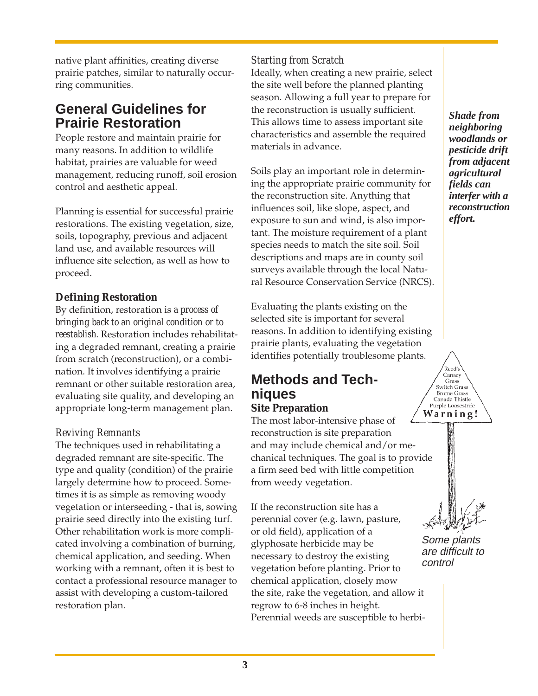native plant affinities, creating diverse prairie patches, similar to naturally occurring communities.

### **General Guidelines for Prairie Restoration**

People restore and maintain prairie for many reasons. In addition to wildlife habitat, prairies are valuable for weed management, reducing runoff, soil erosion control and aesthetic appeal.

Planning is essential for successful prairie restorations. The existing vegetation, size, soils, topography, previous and adjacent land use, and available resources will influence site selection, as well as how to proceed.

### **Defining Restoration**

By definition, restoration is *a process of bringing back to an original condition or to reestablish*. Restoration includes rehabilitating a degraded remnant, creating a prairie from scratch (reconstruction), or a combination. It involves identifying a prairie remnant or other suitable restoration area, evaluating site quality, and developing an appropriate long-term management plan.

#### *Reviving Remnants*

The techniques used in rehabilitating a degraded remnant are site-specific. The type and quality (condition) of the prairie largely determine how to proceed. Sometimes it is as simple as removing woody vegetation or interseeding - that is, sowing prairie seed directly into the existing turf. Other rehabilitation work is more complicated involving a combination of burning, chemical application, and seeding. When working with a remnant, often it is best to contact a professional resource manager to assist with developing a custom-tailored restoration plan.

#### *Starting from Scratch*

Ideally, when creating a new prairie, select the site well before the planned planting season. Allowing a full year to prepare for the reconstruction is usually sufficient. This allows time to assess important site characteristics and assemble the required materials in advance.

Soils play an important role in determining the appropriate prairie community for the reconstruction site. Anything that influences soil, like slope, aspect, and exposure to sun and wind, is also important. The moisture requirement of a plant species needs to match the site soil. Soil descriptions and maps are in county soil surveys available through the local Natural Resource Conservation Service (NRCS).

Evaluating the plants existing on the selected site is important for several reasons. In addition to identifying existing prairie plants, evaluating the vegetation identifies potentially troublesome plants.

### **Methods and Techniques**

#### **Site Preparation**

The most labor-intensive phase of reconstruction is site preparation and may include chemical and/or mechanical techniques. The goal is to provide a firm seed bed with little competition from weedy vegetation.

If the reconstruction site has a perennial cover (e.g. lawn, pasture, or old field), application of a glyphosate herbicide may be necessary to destroy the existing vegetation before planting. Prior to chemical application, closely mow the site, rake the vegetation, and allow it regrow to 6-8 inches in height. Perennial weeds are susceptible to herbi-

*Shade from neighboring woodlands or pesticide drift from adjacent agricultural fields can interfer with a reconstruction effort.*

.<br>Reed's Canary Grass Switch Grass Brome Grass<br>Canada Thistle Purple Loosestrife Warning!

Some plants are difficult to control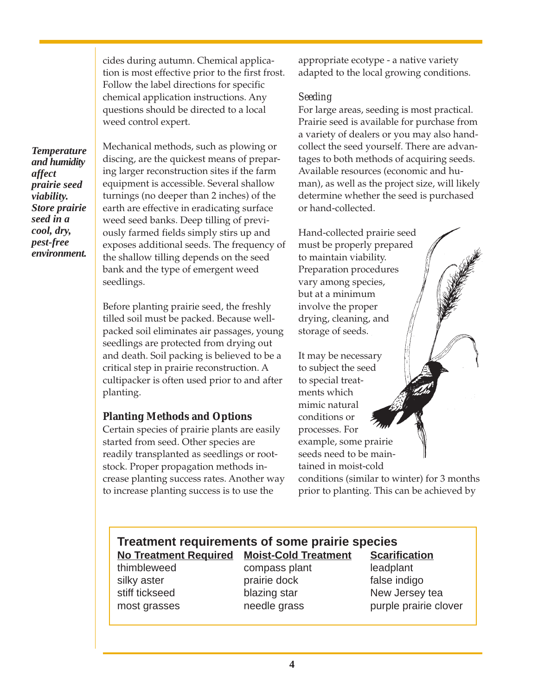cides during autumn. Chemical application is most effective prior to the first frost. Follow the label directions for specific chemical application instructions. Any questions should be directed to a local weed control expert.

*Temperature and humidity affect prairie seed viability. Store prairie seed in a cool, dry, pest-free environment.*

Mechanical methods, such as plowing or discing, are the quickest means of preparing larger reconstruction sites if the farm equipment is accessible. Several shallow turnings (no deeper than 2 inches) of the earth are effective in eradicating surface weed seed banks. Deep tilling of previously farmed fields simply stirs up and exposes additional seeds. The frequency of the shallow tilling depends on the seed bank and the type of emergent weed seedlings.

Before planting prairie seed, the freshly tilled soil must be packed. Because wellpacked soil eliminates air passages, young seedlings are protected from drying out and death. Soil packing is believed to be a critical step in prairie reconstruction. A cultipacker is often used prior to and after planting.

#### **Planting Methods and Options**

Certain species of prairie plants are easily started from seed. Other species are readily transplanted as seedlings or rootstock. Proper propagation methods increase planting success rates. Another way to increase planting success is to use the

appropriate ecotype - a native variety adapted to the local growing conditions.

#### *Seeding*

For large areas, seeding is most practical. Prairie seed is available for purchase from a variety of dealers or you may also handcollect the seed yourself. There are advantages to both methods of acquiring seeds. Available resources (economic and human), as well as the project size, will likely determine whether the seed is purchased or hand-collected.

Hand-collected prairie seed must be properly prepared to maintain viability. Preparation procedures vary among species, but at a minimum involve the proper drying, cleaning, and storage of seeds.

It may be necessary to subject the seed to special treatments which mimic natural conditions or processes. For example, some prairie seeds need to be maintained in moist-cold

conditions (similar to winter) for 3 months prior to planting. This can be achieved by

#### **Treatment requirements of some prairie species No Treatment Required Moist-Cold Treatment Scarification**

thimbleweed compass plant leadplant silky aster **prairie dock** false indigo

stiff tickseed blazing star New Jersey tea most grasses meedle grass burple prairie clover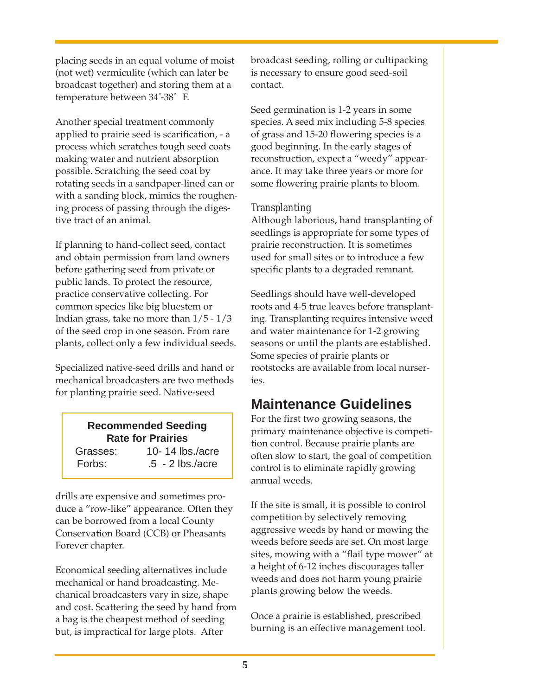placing seeds in an equal volume of moist (not wet) vermiculite (which can later be broadcast together) and storing them at a temperature between 34° -38° F.

Another special treatment commonly applied to prairie seed is scarification, - a process which scratches tough seed coats making water and nutrient absorption possible. Scratching the seed coat by rotating seeds in a sandpaper-lined can or with a sanding block, mimics the roughening process of passing through the digestive tract of an animal.

If planning to hand-collect seed, contact and obtain permission from land owners before gathering seed from private or public lands. To protect the resource, practice conservative collecting. For common species like big bluestem or Indian grass, take no more than 1/5 - 1/3 of the seed crop in one season. From rare plants, collect only a few individual seeds.

Specialized native-seed drills and hand or mechanical broadcasters are two methods for planting prairie seed. Native-seed

| <b>Recommended Seeding</b><br><b>Rate for Prairies</b> |                              |
|--------------------------------------------------------|------------------------------|
| Grasses:                                               | 10-14 $\frac{1}{3}$ hs./acre |
| Forbs:                                                 | $.5 - 2$ lbs./acre           |

drills are expensive and sometimes produce a "row-like" appearance. Often they can be borrowed from a local County Conservation Board (CCB) or Pheasants Forever chapter.

Economical seeding alternatives include mechanical or hand broadcasting. Mechanical broadcasters vary in size, shape and cost. Scattering the seed by hand from a bag is the cheapest method of seeding but, is impractical for large plots. After

broadcast seeding, rolling or cultipacking is necessary to ensure good seed-soil contact.

Seed germination is 1-2 years in some species. A seed mix including 5-8 species of grass and 15-20 flowering species is a good beginning. In the early stages of reconstruction, expect a "weedy" appearance. It may take three years or more for some flowering prairie plants to bloom.

#### *Transplanting*

Although laborious, hand transplanting of seedlings is appropriate for some types of prairie reconstruction. It is sometimes used for small sites or to introduce a few specific plants to a degraded remnant.

Seedlings should have well-developed roots and 4-5 true leaves before transplanting. Transplanting requires intensive weed and water maintenance for 1-2 growing seasons or until the plants are established. Some species of prairie plants or rootstocks are available from local nurseries.

### **Maintenance Guidelines**

For the first two growing seasons, the primary maintenance objective is competition control. Because prairie plants are often slow to start, the goal of competition control is to eliminate rapidly growing annual weeds.

If the site is small, it is possible to control competition by selectively removing aggressive weeds by hand or mowing the weeds before seeds are set. On most large sites, mowing with a "flail type mower" at a height of 6-12 inches discourages taller weeds and does not harm young prairie plants growing below the weeds.

Once a prairie is established, prescribed burning is an effective management tool.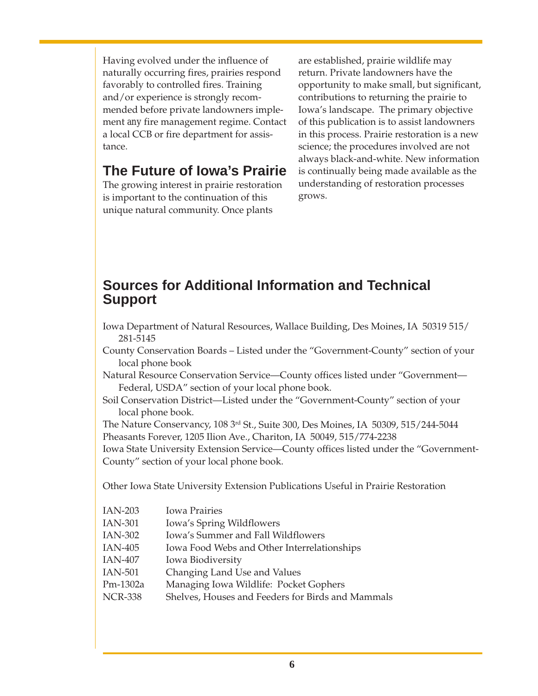Having evolved under the influence of naturally occurring fires, prairies respond favorably to controlled fires. Training and/or experience is strongly recommended before private landowners implement *any* fire management regime. Contact a local CCB or fire department for assistance.

### **The Future of Iowa's Prairie**

The growing interest in prairie restoration is important to the continuation of this unique natural community. Once plants

are established, prairie wildlife may return. Private landowners have the opportunity to make small, but significant, contributions to returning the prairie to Iowa's landscape. The primary objective of this publication is to assist landowners in this process. Prairie restoration is a new science; the procedures involved are not always black-and-white. New information is continually being made available as the understanding of restoration processes grows.

### **Sources for Additional Information and Technical Support**

- Iowa Department of Natural Resources, Wallace Building, Des Moines, IA 50319 515/ 281-5145
- County Conservation Boards Listed under the "Government-County" section of your local phone book
- Natural Resource Conservation Service—County offices listed under "Government— Federal, USDA" section of your local phone book.
- Soil Conservation District—Listed under the "Government-County" section of your local phone book.

The Nature Conservancy, 108 3rd St., Suite 300, Des Moines, IA 50309, 515/244-5044 Pheasants Forever, 1205 Ilion Ave., Chariton, IA 50049, 515/774-2238

Iowa State University Extension Service—County offices listed under the "Government-County" section of your local phone book.

Other Iowa State University Extension Publications Useful in Prairie Restoration

| <b>IAN-203</b> | <b>Iowa Prairies</b>                              |
|----------------|---------------------------------------------------|
| <b>IAN-301</b> | Iowa's Spring Wildflowers                         |
| IAN-302        | Iowa's Summer and Fall Wildflowers                |
| IAN-405        | Iowa Food Webs and Other Interrelationships       |
| IAN-407        | Iowa Biodiversity                                 |
| IAN-501        | Changing Land Use and Values                      |
| Pm-1302a       | Managing Iowa Wildlife: Pocket Gophers            |
| <b>NCR-338</b> | Shelves, Houses and Feeders for Birds and Mammals |
|                |                                                   |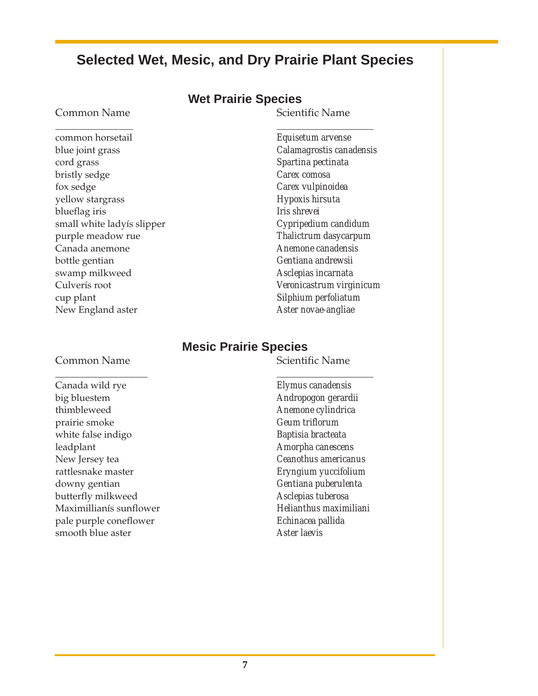### **Selected Wet, Mesic, and Dry Prairie Plant Species**

#### **Wet Prairie Species**

#### Common Name Scientific Name

\_\_\_\_\_\_\_\_\_\_\_\_\_\_\_\_ \_\_\_\_\_\_\_\_\_\_\_\_\_\_\_\_\_\_\_\_ common horsetail *Equisetum arvense* blue joint grass *Calamagrostis canadensis* cord grass *Spartina pectinata* bristly sedge *Carex comosa* fox sedge *Carex vulpinoidea* yellow stargrass *Hypoxis hirsuta* blueflag iris *Iris shrevei* small white ladyís slipper *Cypripedium candidum* purple meadow rue *Thalictrum dasycarpum* Canada anemone *Anemone canadensis* bottle gentian *Gentiana andrewsii* swamp milkweed *Asclepias incarnata* Culverís root *Veronicastrum virginicum* cup plant *Silphium perfoliatum* New England aster *Aster novae-angliae*

#### **Mesic Prairie Species**

#### Common Name Scientific Name

Canada wild rye *Elymus canadensis* big bluestem *Andropogon gerardii* thimbleweed *Anemone cylindrica* prairie smoke *Geum triflorum* white false indigo *Baptisia bracteata* leadplant *Amorpha canescens* New Jersey tea *Ceanothus americanus* rattlesnake master *Eryngium yuccifolium* downy gentian *Gentiana puberulenta* butterfly milkweed *Asclepias tuberosa* Maximillianís sunflower *Helianthus maximiliani* pale purple coneflower *Echinacea pallida* smooth blue aster *Aster laevis*

\_\_\_\_\_\_\_\_\_\_\_\_\_\_\_\_\_\_\_ \_\_\_\_\_\_\_\_\_\_\_\_\_\_\_\_\_\_\_\_